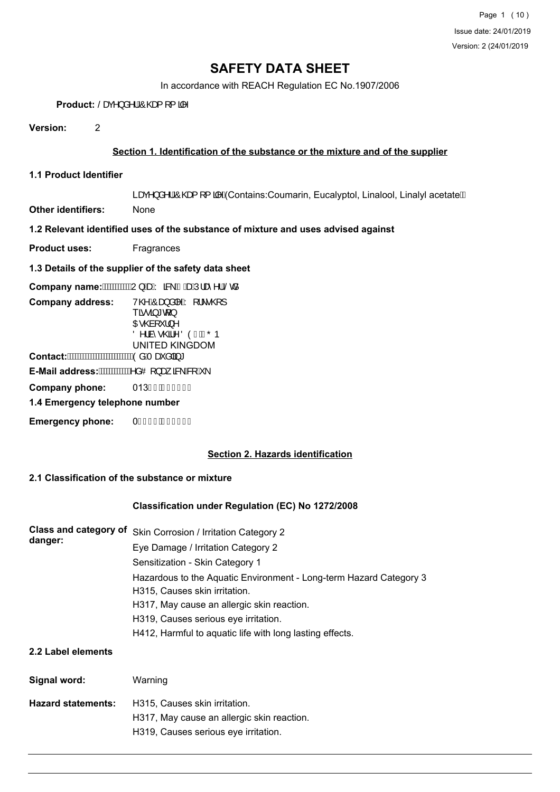In accordance with REACH Regulation EC No.1907/2006

Product:  $\operatorname{Sag}\Lambda$   $\operatorname{d}\Lambda$ <sup>1</sup>/ $\operatorname{Odeg}$  [{  $\operatorname{d}\Lambda$ <sup>x</sup>

**Version:** 2

### **Section 1. Identification of the substance or the mixture and of the supplier**

**1.1 Product Identifier**

Læ() å^¦ $\hat{A}$ O@af [{ $\hat{a}$ <sup>^</sup> $\hat{A}$ Contains:Coumarin, Eucalyptol, Linalool, Linalyl acetate<sup>"</sup>

**Other identifiers:** None

## **1.2 Relevant identified uses of the substance of mixture and uses advised against**

**Product uses:** Fragrances

**1.3 Details of the supplier of the safety data sheet**

Company name: WWWWW } /xdv & AB/xdul a ^ | /Sca

| <b>Company address:</b>        | V@AÔæ}å ^ÁY[¦\•@}]               |
|--------------------------------|----------------------------------|
|                                | $T\tilde{a} \cdot \tilde{a} * d$ |
|                                | <b>OE @a[ `  } ^</b>             |
|                                | Ö^¦à^• @A^ ÖÒÎ ÁHÕÞ              |
|                                | <b>UNITED KINGDOM</b>            |
| Contact:                       | 'ÒåÁTæčå ā, *                    |
| E-Mail address:                | '^åOl}æ, a&∖È&lÊ∖                |
| Company phone:                 | 013HÍ ÁHJ€Î HJ                   |
| 1.4 Emergency telephone number |                                  |
| <b>Emergency phone:</b>        | 0Ï Í Ì FÁI€€I Ì G                |

#### **Section 2. Hazards identification**

#### **2.1 Classification of the substance or mixture**

#### **Classification under Regulation (EC) No 1272/2008**

| Class and category of<br>danger:   | Skin Corrosion / Irritation Category 2<br>Eye Damage / Irritation Category 2<br>Sensitization - Skin Category 1<br>Hazardous to the Aquatic Environment - Long-term Hazard Category 3<br>H315, Causes skin irritation.<br>H317, May cause an allergic skin reaction.<br>H319, Causes serious eye irritation.<br>H412, Harmful to aquatic life with long lasting effects. |
|------------------------------------|--------------------------------------------------------------------------------------------------------------------------------------------------------------------------------------------------------------------------------------------------------------------------------------------------------------------------------------------------------------------------|
| 2.2 Label elements<br>Signal word: | Warning                                                                                                                                                                                                                                                                                                                                                                  |
| <b>Hazard statements:</b>          | H315, Causes skin irritation.<br>H317, May cause an allergic skin reaction.<br>H319, Causes serious eye irritation.                                                                                                                                                                                                                                                      |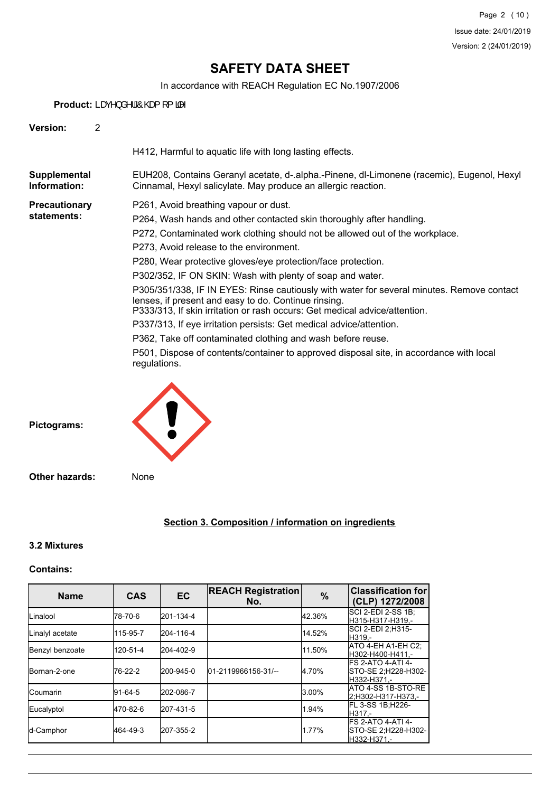In accordance with REACH Regulation EC No.1907/2006

Product: Læ<sub>(^</sub>} å^¦ $\hat{A}$ @g{ [ {  $\hat{a}$ ^

| Version:                            | $\overline{2}$ |                                                                                                                                                                                                                                                                                                                                                                                                                                                                                                                                                                                                                                                                                                                                                                                                                                                           |
|-------------------------------------|----------------|-----------------------------------------------------------------------------------------------------------------------------------------------------------------------------------------------------------------------------------------------------------------------------------------------------------------------------------------------------------------------------------------------------------------------------------------------------------------------------------------------------------------------------------------------------------------------------------------------------------------------------------------------------------------------------------------------------------------------------------------------------------------------------------------------------------------------------------------------------------|
|                                     |                | H412, Harmful to aquatic life with long lasting effects.                                                                                                                                                                                                                                                                                                                                                                                                                                                                                                                                                                                                                                                                                                                                                                                                  |
| Supplemental<br>Information:        |                | EUH208, Contains Geranyl acetate, d-.alpha.-Pinene, dl-Limonene (racemic), Eugenol, Hexyl<br>Cinnamal, Hexyl salicylate. May produce an allergic reaction.                                                                                                                                                                                                                                                                                                                                                                                                                                                                                                                                                                                                                                                                                                |
| <b>Precautionary</b><br>statements: |                | P261, Avoid breathing vapour or dust.<br>P264, Wash hands and other contacted skin thoroughly after handling.<br>P272, Contaminated work clothing should not be allowed out of the workplace.<br>P273, Avoid release to the environment.<br>P280, Wear protective gloves/eye protection/face protection.<br>P302/352, IF ON SKIN: Wash with plenty of soap and water.<br>P305/351/338, IF IN EYES: Rinse cautiously with water for several minutes. Remove contact<br>lenses, if present and easy to do. Continue rinsing.<br>P333/313, If skin irritation or rash occurs: Get medical advice/attention.<br>P337/313, If eye irritation persists: Get medical advice/attention.<br>P362, Take off contaminated clothing and wash before reuse.<br>P501, Dispose of contents/container to approved disposal site, in accordance with local<br>regulations. |
| Pictograms:                         |                |                                                                                                                                                                                                                                                                                                                                                                                                                                                                                                                                                                                                                                                                                                                                                                                                                                                           |
| <b>Other hazards:</b>               |                | None                                                                                                                                                                                                                                                                                                                                                                                                                                                                                                                                                                                                                                                                                                                                                                                                                                                      |

# **Section 3. Composition / information on ingredients**

### **3.2 Mixtures**

### **Contains:**

| <b>Name</b>     | <b>CAS</b> | <b>EC</b> | <b>REACH Registration</b><br>No. | $\frac{0}{0}$ | <b>Classification for</b><br>(CLP) 1272/2008              |
|-----------------|------------|-----------|----------------------------------|---------------|-----------------------------------------------------------|
| ILinalool       | 78-70-6    | 201-134-4 |                                  | 42.36%        | ISCI 2-EDI 2-SS 1B:<br>H315-H317-H319.-                   |
| Linalyl acetate | 115-95-7   | 204-116-4 |                                  | 14.52%        | SCI 2-EDI 2:H315-<br>H319.-                               |
| Benzyl benzoate | 120-51-4   | 204-402-9 |                                  | 11.50%        | ATO 4-EH A1-EH C2:<br>H302-H400-H411.-                    |
| Bornan-2-one    | 76-22-2    | 200-945-0 | 01-2119966156-31/--              | 4.70%         | IFS 2-ATO 4-ATI 4-<br>STO-SE 2;H228-H302-<br>H332-H371.-  |
| lCoumarin       | 91-64-5    | 202-086-7 |                                  | 3.00%         | IATO 4-SS 1B-STO-RE<br>2:H302-H317-H373.-                 |
| Eucalyptol      | 470-82-6   | 207-431-5 |                                  | 1.94%         | FL 3-SS 1B;H226-<br>H317.-                                |
| d-Camphor       | 464-49-3   | 207-355-2 |                                  | 1.77%         | IFS 2-ATO 4-ATI 4-<br>STO-SE 2;H228-H302-<br>IH332-H371.- |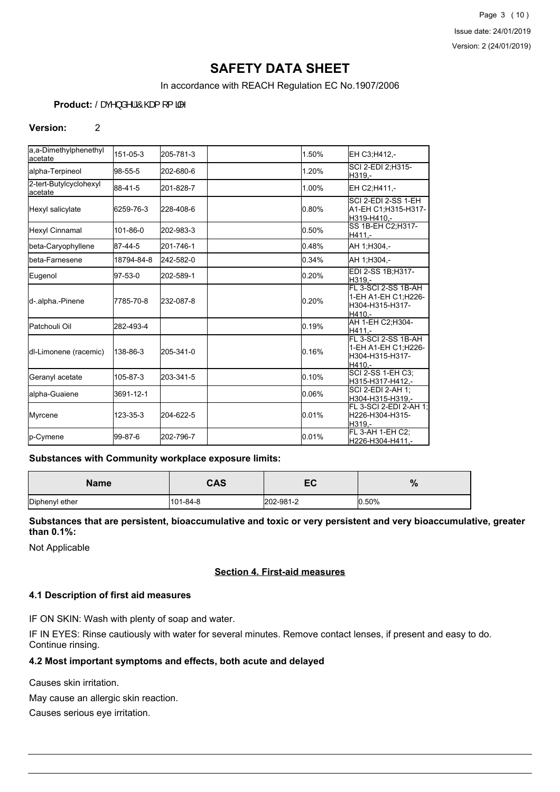In accordance with REACH Regulation EC No.1907/2006

## Product:  $\operatorname{Sag}^{\wedge}$  a<sup>^</sup>  $\operatorname{AOB}$  [ {  $\operatorname{AOB}$ <sup>x</sup>

#### **Version:** 2

| a.a-Dimethylphenethyl<br>lacetate  | 151-05-3   | 205-781-3 | 1.50% | EH C3:H412.-                                                             |
|------------------------------------|------------|-----------|-------|--------------------------------------------------------------------------|
| alpha-Terpineol                    | 98-55-5    | 202-680-6 | 1.20% | SCI 2-EDI 2:H315-<br>H319.-                                              |
| 2-tert-Butylcyclohexyl<br>lacetate | 88-41-5    | 201-828-7 | 1.00% | EH C2:H411.-                                                             |
| Hexyl salicylate                   | 6259-76-3  | 228-408-6 | 0.80% | SCI 2-EDI 2-SS 1-EH<br>A1-EH C1:H315-H317-<br>H319-H410.-                |
| Hexyl Cinnamal                     | 101-86-0   | 202-983-3 | 0.50% | SS 1B-EH C2; H317-<br>H411.-                                             |
| beta-Caryophyllene                 | 87-44-5    | 201-746-1 | 0.48% | AH 1:H304,-                                                              |
| <b>I</b> beta-Farnesene            | 18794-84-8 | 242-582-0 | 0.34% | AH 1:H304.-                                                              |
| Eugenol                            | 97-53-0    | 202-589-1 | 0.20% | EDI 2-SS 1B:H317-<br>H319.-                                              |
| d-.alpha.-Pinene                   | 7785-70-8  | 232-087-8 | 0.20% | FL 3-SCI 2-SS 1B-AH<br>1-EH A1-EH C1;H226-<br>H304-H315-H317-<br>H410.-  |
| <b>I</b> Patchouli Oil             | 282-493-4  |           | 0.19% | AH 1-EH C2;H304-<br>H411.-                                               |
| dl-Limonene (racemic)              | 138-86-3   | 205-341-0 | 0.16% | FL 3-SCI 2-SS 1B-AH<br>1-EH A1-EH C1; H226-<br>H304-H315-H317-<br>H410.- |
| Geranyl acetate                    | 105-87-3   | 203-341-5 | 0.10% | <b>SCI 2-SS 1-EH C3:</b><br>H315-H317-H412.-                             |
| lalpha-Guaiene                     | 3691-12-1  |           | 0.06% | SCI 2-EDI 2-AH 1;<br>H304-H315-H319.-                                    |
| Myrcene                            | 123-35-3   | 204-622-5 | 0.01% | FL 3-SCI 2-EDI 2-AH 1:<br>H226-H304-H315-<br>H319,-                      |
| p-Cymene                           | 99-87-6    | 202-796-7 | 0.01% | FL 3-AH 1-EH C2;<br>H226-H304-H411.-                                     |

#### **Substances with Community workplace exposure limits:**

| <b>Name</b>    | cnc<br>umo | ∽         | $\mathbf{0}$<br>70 |
|----------------|------------|-----------|--------------------|
| Diphenyl ether | 101-84-8   | 202-981-2 | 0.50%              |

**Substances that are persistent, bioaccumulative and toxic or very persistent and very bioaccumulative, greater than 0.1%:**

Not Applicable

## **Section 4. First-aid measures**

#### **4.1 Description of first aid measures**

IF ON SKIN: Wash with plenty of soap and water.

IF IN EYES: Rinse cautiously with water for several minutes. Remove contact lenses, if present and easy to do. Continue rinsing.

#### **4.2 Most important symptoms and effects, both acute and delayed**

Causes skin irritation.

May cause an allergic skin reaction.

Causes serious eye irritation.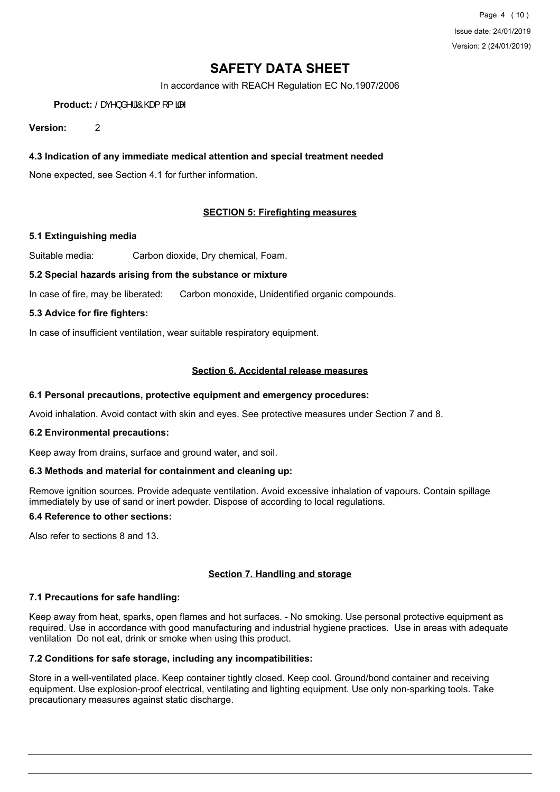Page 4 (10) Issue date: 24/01/2019 Version: 2 (24/01/2019)

# **SAFETY DATA SHEET**

In accordance with REACH Regulation EC No.1907/2006

Product:  $\operatorname{Sag}^{\wedge}$  a<sup>^</sup>  $\operatorname{AOB}$  [ {  $\operatorname{AOB}$ <sup>\*</sup>

**Version:** 2

#### **4.3 Indication of any immediate medical attention and special treatment needed**

None expected, see Section 4.1 for further information.

### **SECTION 5: Firefighting measures**

#### **5.1 Extinguishing media**

Suitable media: Carbon dioxide, Dry chemical, Foam.

#### **5.2 Special hazards arising from the substance or mixture**

In case of fire, may be liberated: Carbon monoxide, Unidentified organic compounds.

#### **5.3 Advice for fire fighters:**

In case of insufficient ventilation, wear suitable respiratory equipment.

#### **Section 6. Accidental release measures**

#### **6.1 Personal precautions, protective equipment and emergency procedures:**

Avoid inhalation. Avoid contact with skin and eyes. See protective measures under Section 7 and 8.

#### **6.2 Environmental precautions:**

Keep away from drains, surface and ground water, and soil.

#### **6.3 Methods and material for containment and cleaning up:**

Remove ignition sources. Provide adequate ventilation. Avoid excessive inhalation of vapours. Contain spillage immediately by use of sand or inert powder. Dispose of according to local regulations.

#### **6.4 Reference to other sections:**

Also refer to sections 8 and 13.

### **Section 7. Handling and storage**

#### **7.1 Precautions for safe handling:**

Keep away from heat, sparks, open flames and hot surfaces. - No smoking. Use personal protective equipment as required. Use in accordance with good manufacturing and industrial hygiene practices. Use in areas with adequate ventilation Do not eat, drink or smoke when using this product.

#### **7.2 Conditions for safe storage, including any incompatibilities:**

Store in a well-ventilated place. Keep container tightly closed. Keep cool. Ground/bond container and receiving equipment. Use explosion-proof electrical, ventilating and lighting equipment. Use only non-sparking tools. Take precautionary measures against static discharge.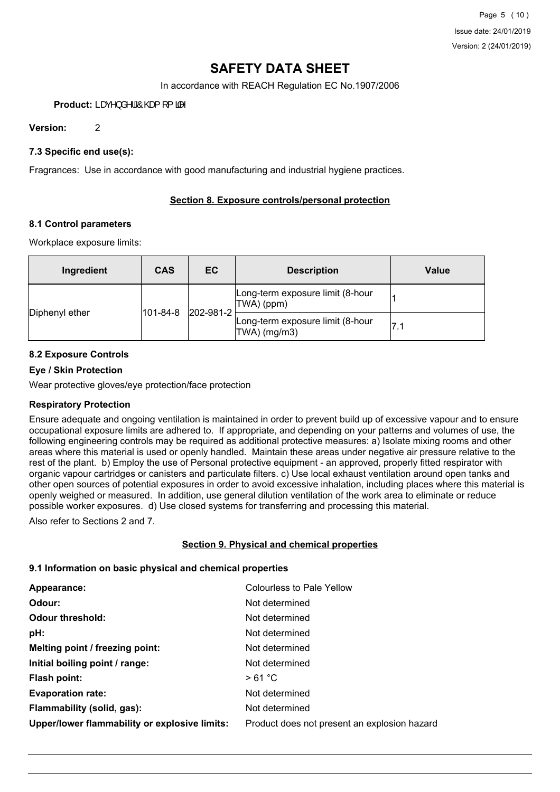In accordance with REACH Regulation EC No.1907/2006

Product: Lax<sup>1</sup>} a<sup>1</sup>| $\hat{A}$ <sup>0</sup>@<sub>t</sub>[{ $\hat{a}$ <sup>1</sup>

**Version:** 2

### **7.3 Specific end use(s):**

Fragrances: Use in accordance with good manufacturing and industrial hygiene practices.

#### **Section 8. Exposure controls/personal protection**

#### **8.1 Control parameters**

Workplace exposure limits:

| Ingredient     | <b>CAS</b>            | EC | <b>Description</b>                               | Value |
|----------------|-----------------------|----|--------------------------------------------------|-------|
|                | 202-981-2<br>101-84-8 |    | Long-term exposure limit (8-hour<br>TWA) (ppm)   |       |
| Diphenyl ether |                       |    | Long-term exposure limit (8-hour<br>TWA) (mg/m3) | l7.1  |

#### **8.2 Exposure Controls**

#### **Eye / Skin Protection**

Wear protective gloves/eye protection/face protection

#### **Respiratory Protection**

Ensure adequate and ongoing ventilation is maintained in order to prevent build up of excessive vapour and to ensure occupational exposure limits are adhered to. If appropriate, and depending on your patterns and volumes of use, the following engineering controls may be required as additional protective measures: a) Isolate mixing rooms and other areas where this material is used or openly handled. Maintain these areas under negative air pressure relative to the rest of the plant. b) Employ the use of Personal protective equipment - an approved, properly fitted respirator with organic vapour cartridges or canisters and particulate filters. c) Use local exhaust ventilation around open tanks and other open sources of potential exposures in order to avoid excessive inhalation, including places where this material is openly weighed or measured. In addition, use general dilution ventilation of the work area to eliminate or reduce possible worker exposures. d) Use closed systems for transferring and processing this material.

Also refer to Sections 2 and 7.

#### **Section 9. Physical and chemical properties**

#### **9.1 Information on basic physical and chemical properties**

| Colourless to Pale Yellow                    |
|----------------------------------------------|
| Not determined                               |
| Not determined                               |
| Not determined                               |
| Not determined                               |
| Not determined                               |
| >61 °C                                       |
| Not determined                               |
| Not determined                               |
| Product does not present an explosion hazard |
|                                              |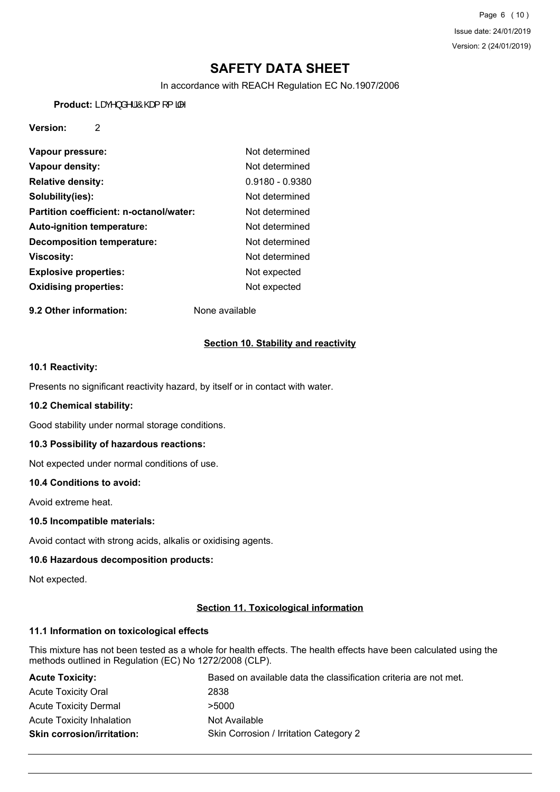Page 6 (10) Issue date: 24/01/2019 Version: 2 (24/01/2019)

# **SAFETY DATA SHEET**

In accordance with REACH Regulation EC No.1907/2006

Product: Læ<sup>A</sup>} å<sup>A</sup>¦ Ô@g{[{ $\frac{3}{4}$ 

### **Version:** 2

| Vapour pressure:                        | Not determined    |
|-----------------------------------------|-------------------|
| Vapour density:                         | Not determined    |
| <b>Relative density:</b>                | $0.9180 - 0.9380$ |
| Solubility(ies):                        | Not determined    |
| Partition coefficient: n-octanol/water: | Not determined    |
| <b>Auto-ignition temperature:</b>       | Not determined    |
| <b>Decomposition temperature:</b>       | Not determined    |
| <b>Viscosity:</b>                       | Not determined    |
| <b>Explosive properties:</b>            | Not expected      |
| <b>Oxidising properties:</b>            | Not expected      |

**9.2 Other information:** None available

### **Section 10. Stability and reactivity**

### **10.1 Reactivity:**

Presents no significant reactivity hazard, by itself or in contact with water.

#### **10.2 Chemical stability:**

Good stability under normal storage conditions.

#### **10.3 Possibility of hazardous reactions:**

Not expected under normal conditions of use.

#### **10.4 Conditions to avoid:**

Avoid extreme heat.

#### **10.5 Incompatible materials:**

Avoid contact with strong acids, alkalis or oxidising agents.

#### **10.6 Hazardous decomposition products:**

Not expected.

#### **Section 11. Toxicological information**

#### **11.1 Information on toxicological effects**

This mixture has not been tested as a whole for health effects. The health effects have been calculated using the methods outlined in Regulation (EC) No 1272/2008 (CLP).

| <b>Acute Toxicity:</b>            | Based on available data the classification criteria are not met. |
|-----------------------------------|------------------------------------------------------------------|
| <b>Acute Toxicity Oral</b>        | 2838                                                             |
| <b>Acute Toxicity Dermal</b>      | >5000                                                            |
| <b>Acute Toxicity Inhalation</b>  | Not Available                                                    |
| <b>Skin corrosion/irritation:</b> | Skin Corrosion / Irritation Category 2                           |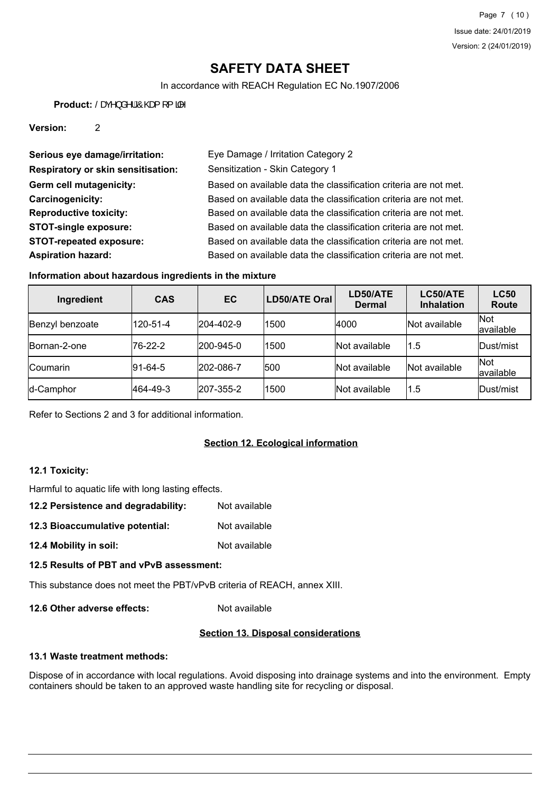In accordance with REACH Regulation EC No.1907/2006

Product: Šæ(^} å^¦ *A*O@g{[{ $\frac{3}{4}$ 

**Version:** 2

| Serious eye damage/irritation:            | Eye Damage / Irritation Category 2                               |
|-------------------------------------------|------------------------------------------------------------------|
| <b>Respiratory or skin sensitisation:</b> | Sensitization - Skin Category 1                                  |
| Germ cell mutagenicity:                   | Based on available data the classification criteria are not met. |
| Carcinogenicity:                          | Based on available data the classification criteria are not met. |
| <b>Reproductive toxicity:</b>             | Based on available data the classification criteria are not met. |
| <b>STOT-single exposure:</b>              | Based on available data the classification criteria are not met. |
| <b>STOT-repeated exposure:</b>            | Based on available data the classification criteria are not met. |
| <b>Aspiration hazard:</b>                 | Based on available data the classification criteria are not met. |

### **Information about hazardous ingredients in the mixture**

| Ingredient           | <b>CAS</b>      | EC        | LD50/ATE Oral | LD50/ATE<br><b>Dermal</b> | LC50/ATE<br><b>Inhalation</b> | <b>LC50</b><br><b>Route</b> |
|----------------------|-----------------|-----------|---------------|---------------------------|-------------------------------|-----------------------------|
| Benzyl benzoate      | 120-51-4        | 204-402-9 | 1500          | 4000                      | Not available                 | Not<br>available            |
| <b>IBornan-2-one</b> | 76-22-2         | 200-945-0 | 1500          | Not available             | $^{\backprime}$ 1.5           | Dust/mist                   |
| <b>ICoumarin</b>     | $ 91 - 64 - 5 $ | 202-086-7 | 500           | Not available             | Not available                 | Not<br>available            |
| d-Camphor            | 464-49-3        | 207-355-2 | 1500          | Not available             | 1.5                           | Dust/mist                   |

Refer to Sections 2 and 3 for additional information.

## **Section 12. Ecological information**

## **12.1 Toxicity:**

Harmful to aquatic life with long lasting effects.

| 12.2 Persistence and degradability: | Not available |
|-------------------------------------|---------------|
|-------------------------------------|---------------|

- **12.3 Bioaccumulative potential:** Not available
- **12.4 Mobility in soil:** Not available

## **12.5 Results of PBT and vPvB assessment:**

This substance does not meet the PBT/vPvB criteria of REACH, annex XIII.

**12.6 Other adverse effects:** Not available

# **Section 13. Disposal considerations**

## **13.1 Waste treatment methods:**

Dispose of in accordance with local regulations. Avoid disposing into drainage systems and into the environment. Empty containers should be taken to an approved waste handling site for recycling or disposal.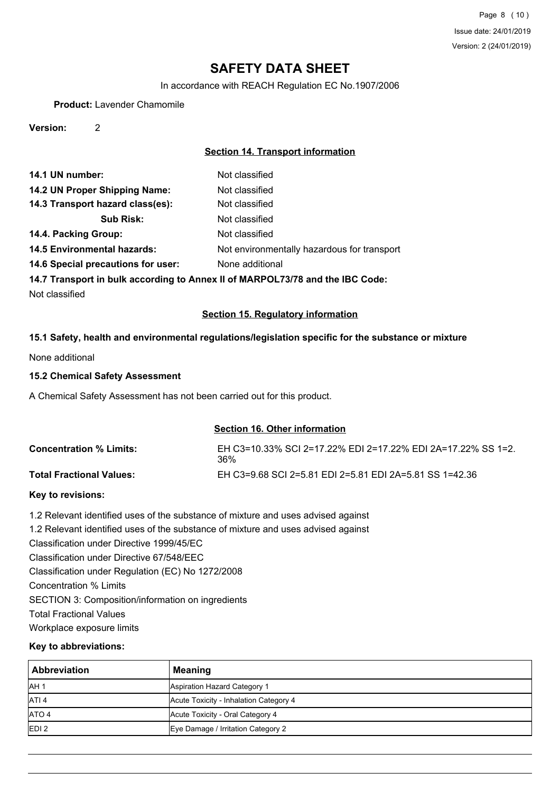In accordance with REACH Regulation EC No.1907/2006

**Product:** Lavender Chamomile

**Version:** 2

## **Section 14. Transport information**

| Not classified                                                                |  |  |
|-------------------------------------------------------------------------------|--|--|
| Not classified                                                                |  |  |
| Not classified                                                                |  |  |
| Not classified                                                                |  |  |
| Not classified                                                                |  |  |
| Not environmentally hazardous for transport                                   |  |  |
| None additional                                                               |  |  |
| 14.7 Transport in bulk according to Annex II of MARPOL73/78 and the IBC Code: |  |  |
|                                                                               |  |  |

Not classified

### **Section 15. Regulatory information**

#### **15.1 Safety, health and environmental regulations/legislation specific for the substance or mixture**

None additional

#### **15.2 Chemical Safety Assessment**

A Chemical Safety Assessment has not been carried out for this product.

### **Section 16. Other information**

| <b>Concentration % Limits:</b>  | EH C3=10.33% SCI 2=17.22% EDI 2=17.22% EDI 2A=17.22% SS 1=2.<br>36% |
|---------------------------------|---------------------------------------------------------------------|
| <b>Total Fractional Values:</b> | EH C3=9.68 SCI 2=5.81 EDI 2=5.81 EDI 2A=5.81 SS 1=42.36             |

#### **Key to revisions:**

1.2 Relevant identified uses of the substance of mixture and uses advised against

1.2 Relevant identified uses of the substance of mixture and uses advised against

Classification under Directive 1999/45/EC

Classification under Directive 67/548/EEC

Classification under Regulation (EC) No 1272/2008

Concentration % Limits

SECTION 3: Composition/information on ingredients

Total Fractional Values

Workplace exposure limits

#### **Key to abbreviations:**

| l Abbreviation   | <b>Meaning</b>                         |
|------------------|----------------------------------------|
| AH <sub>1</sub>  | Aspiration Hazard Category 1           |
| ATI <sub>4</sub> | Acute Toxicity - Inhalation Category 4 |
| ATO 4            | Acute Toxicity - Oral Category 4       |
| EDI2             | Eye Damage / Irritation Category 2     |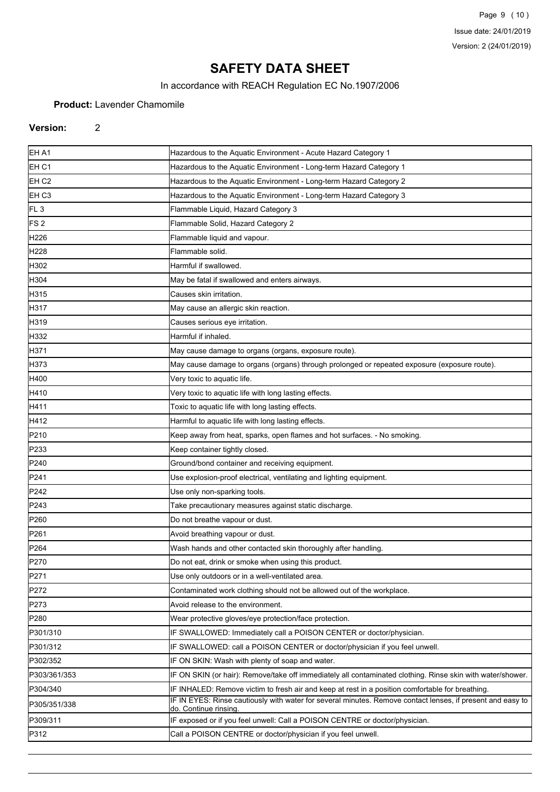Page 9 (10) Issue date: 24/01/2019 Version: 2 (24/01/2019)

# **SAFETY DATA SHEET**

In accordance with REACH Regulation EC No.1907/2006

### **Product:** Lavender Chamomile

### **Version:** 2

| EH A1             | Hazardous to the Aquatic Environment - Acute Hazard Category 1                                                                      |
|-------------------|-------------------------------------------------------------------------------------------------------------------------------------|
| EH C1             | Hazardous to the Aquatic Environment - Long-term Hazard Category 1                                                                  |
| EH C <sub>2</sub> | Hazardous to the Aquatic Environment - Long-term Hazard Category 2                                                                  |
| EH C <sub>3</sub> | Hazardous to the Aquatic Environment - Long-term Hazard Category 3                                                                  |
| FL <sub>3</sub>   | Flammable Liquid, Hazard Category 3                                                                                                 |
| FS <sub>2</sub>   | Flammable Solid, Hazard Category 2                                                                                                  |
| H <sub>226</sub>  | Flammable liquid and vapour.                                                                                                        |
| H <sub>228</sub>  | Flammable solid.                                                                                                                    |
| H302              | Harmful if swallowed.                                                                                                               |
| H304              | May be fatal if swallowed and enters airways.                                                                                       |
| H315              | Causes skin irritation.                                                                                                             |
| H317              | May cause an allergic skin reaction.                                                                                                |
| H319              | Causes serious eye irritation.                                                                                                      |
| H332              | Harmful if inhaled.                                                                                                                 |
| H371              | May cause damage to organs (organs, exposure route).                                                                                |
| H373              | May cause damage to organs (organs) through prolonged or repeated exposure (exposure route).                                        |
| H400              | Very toxic to aquatic life.                                                                                                         |
| H410              | Very toxic to aquatic life with long lasting effects.                                                                               |
| H411              | Toxic to aquatic life with long lasting effects.                                                                                    |
| H412              | Harmful to aquatic life with long lasting effects.                                                                                  |
| P210              | Keep away from heat, sparks, open flames and hot surfaces. - No smoking.                                                            |
| P233              | Keep container tightly closed.                                                                                                      |
| P240              | Ground/bond container and receiving equipment.                                                                                      |
| P241              | Use explosion-proof electrical, ventilating and lighting equipment.                                                                 |
| P242              | Use only non-sparking tools.                                                                                                        |
| P243              | Take precautionary measures against static discharge.                                                                               |
| P <sub>260</sub>  | Do not breathe vapour or dust.                                                                                                      |
| P <sub>261</sub>  | Avoid breathing vapour or dust.                                                                                                     |
| P <sub>264</sub>  | Wash hands and other contacted skin thoroughly after handling.                                                                      |
| P270              | Do not eat, drink or smoke when using this product.                                                                                 |
| P271              | Use only outdoors or in a well-ventilated area.                                                                                     |
| P272              | Contaminated work clothing should not be allowed out of the workplace.                                                              |
| P273              | Avoid release to the environment.                                                                                                   |
| P <sub>280</sub>  | Wear protective gloves/eye protection/face protection.                                                                              |
| P301/310          | IF SWALLOWED: Immediately call a POISON CENTER or doctor/physician.                                                                 |
| P301/312          | IF SWALLOWED: call a POISON CENTER or doctor/physician if you feel unwell.                                                          |
| P302/352          | IF ON SKIN: Wash with plenty of soap and water.                                                                                     |
| P303/361/353      | IF ON SKIN (or hair): Remove/take off immediately all contaminated clothing. Rinse skin with water/shower.                          |
| P304/340          | IF INHALED: Remove victim to fresh air and keep at rest in a position comfortable for breathing.                                    |
| P305/351/338      | IF IN EYES: Rinse cautiously with water for several minutes. Remove contact lenses, if present and easy to<br>do. Continue rinsing. |
| P309/311          | IF exposed or if you feel unwell: Call a POISON CENTRE or doctor/physician.                                                         |
| P312              | Call a POISON CENTRE or doctor/physician if you feel unwell.                                                                        |
|                   |                                                                                                                                     |